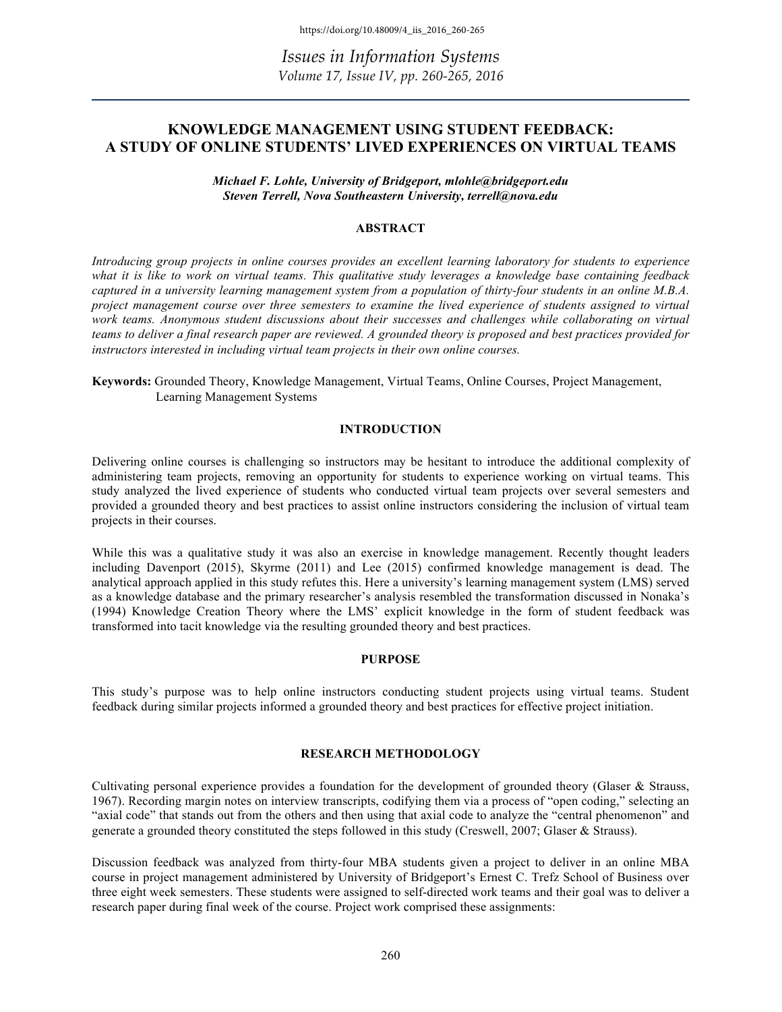*Issues in Information Systems Volume 17, Issue IV, pp. 260-265, 2016*

# **KNOWLEDGE MANAGEMENT USING STUDENT FEEDBACK: A STUDY OF ONLINE STUDENTS' LIVED EXPERIENCES ON VIRTUAL TEAMS**

*Michael F. Lohle, University of Bridgeport, mlohle@bridgeport.edu Steven Terrell, Nova Southeastern University, terrell@nova.edu*

#### **ABSTRACT**

*Introducing group projects in online courses provides an excellent learning laboratory for students to experience what it is like to work on virtual teams. This qualitative study leverages a knowledge base containing feedback captured in a university learning management system from a population of thirty-four students in an online M.B.A. project management course over three semesters to examine the lived experience of students assigned to virtual work teams. Anonymous student discussions about their successes and challenges while collaborating on virtual teams to deliver a final research paper are reviewed. A grounded theory is proposed and best practices provided for instructors interested in including virtual team projects in their own online courses.* 

**Keywords:** Grounded Theory, Knowledge Management, Virtual Teams, Online Courses, Project Management, Learning Management Systems

## **INTRODUCTION**

Delivering online courses is challenging so instructors may be hesitant to introduce the additional complexity of administering team projects, removing an opportunity for students to experience working on virtual teams. This study analyzed the lived experience of students who conducted virtual team projects over several semesters and provided a grounded theory and best practices to assist online instructors considering the inclusion of virtual team projects in their courses.

While this was a qualitative study it was also an exercise in knowledge management. Recently thought leaders including Davenport (2015), Skyrme (2011) and Lee (2015) confirmed knowledge management is dead. The analytical approach applied in this study refutes this. Here a university's learning management system (LMS) served as a knowledge database and the primary researcher's analysis resembled the transformation discussed in Nonaka's (1994) Knowledge Creation Theory where the LMS' explicit knowledge in the form of student feedback was transformed into tacit knowledge via the resulting grounded theory and best practices.

#### **PURPOSE**

This study's purpose was to help online instructors conducting student projects using virtual teams. Student feedback during similar projects informed a grounded theory and best practices for effective project initiation.

# **RESEARCH METHODOLOGY**

Cultivating personal experience provides a foundation for the development of grounded theory (Glaser & Strauss, 1967). Recording margin notes on interview transcripts, codifying them via a process of "open coding," selecting an "axial code" that stands out from the others and then using that axial code to analyze the "central phenomenon" and generate a grounded theory constituted the steps followed in this study (Creswell, 2007; Glaser & Strauss).

Discussion feedback was analyzed from thirty-four MBA students given a project to deliver in an online MBA course in project management administered by University of Bridgeport's Ernest C. Trefz School of Business over three eight week semesters. These students were assigned to self-directed work teams and their goal was to deliver a research paper during final week of the course. Project work comprised these assignments: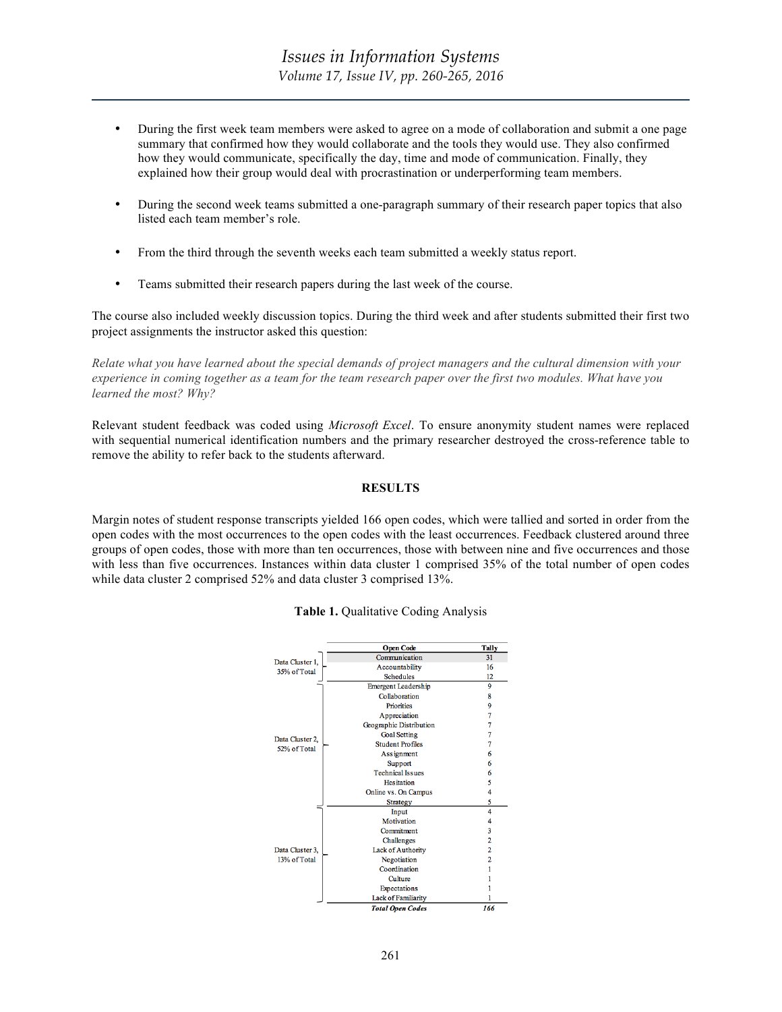- During the first week team members were asked to agree on a mode of collaboration and submit a one page summary that confirmed how they would collaborate and the tools they would use. They also confirmed how they would communicate, specifically the day, time and mode of communication. Finally, they explained how their group would deal with procrastination or underperforming team members.
- During the second week teams submitted a one-paragraph summary of their research paper topics that also listed each team member's role.
- From the third through the seventh weeks each team submitted a weekly status report.
- Teams submitted their research papers during the last week of the course.

The course also included weekly discussion topics. During the third week and after students submitted their first two project assignments the instructor asked this question:

*Relate what you have learned about the special demands of project managers and the cultural dimension with your experience in coming together as a team for the team research paper over the first two modules. What have you learned the most? Why?* 

Relevant student feedback was coded using *Microsoft Excel*. To ensure anonymity student names were replaced with sequential numerical identification numbers and the primary researcher destroyed the cross-reference table to remove the ability to refer back to the students afterward.

## **RESULTS**

Margin notes of student response transcripts yielded 166 open codes, which were tallied and sorted in order from the open codes with the most occurrences to the open codes with the least occurrences. Feedback clustered around three groups of open codes, those with more than ten occurrences, those with between nine and five occurrences and those with less than five occurrences. Instances within data cluster 1 comprised 35% of the total number of open codes while data cluster 2 comprised 52% and data cluster 3 comprised 13%.



#### **Table 1.** Qualitative Coding Analysis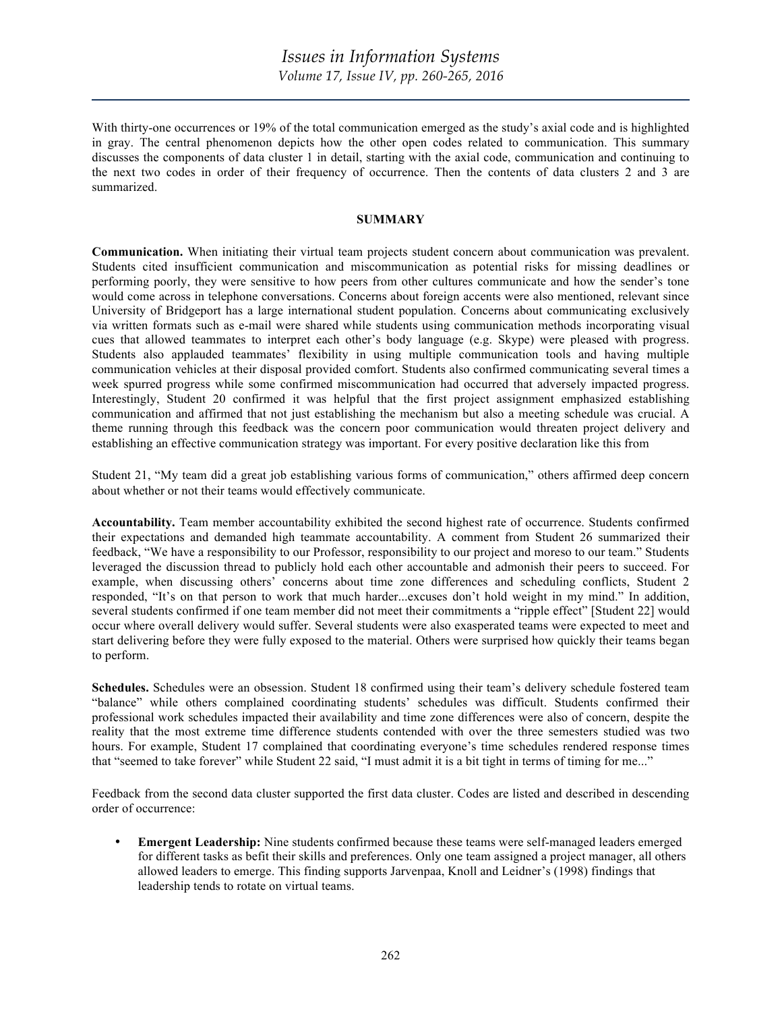With thirty-one occurrences or 19% of the total communication emerged as the study's axial code and is highlighted in gray. The central phenomenon depicts how the other open codes related to communication. This summary discusses the components of data cluster 1 in detail, starting with the axial code, communication and continuing to the next two codes in order of their frequency of occurrence. Then the contents of data clusters 2 and 3 are summarized.

## **SUMMARY**

**Communication.** When initiating their virtual team projects student concern about communication was prevalent. Students cited insufficient communication and miscommunication as potential risks for missing deadlines or performing poorly, they were sensitive to how peers from other cultures communicate and how the sender's tone would come across in telephone conversations. Concerns about foreign accents were also mentioned, relevant since University of Bridgeport has a large international student population. Concerns about communicating exclusively via written formats such as e-mail were shared while students using communication methods incorporating visual cues that allowed teammates to interpret each other's body language (e.g. Skype) were pleased with progress. Students also applauded teammates' flexibility in using multiple communication tools and having multiple communication vehicles at their disposal provided comfort. Students also confirmed communicating several times a week spurred progress while some confirmed miscommunication had occurred that adversely impacted progress. Interestingly, Student 20 confirmed it was helpful that the first project assignment emphasized establishing communication and affirmed that not just establishing the mechanism but also a meeting schedule was crucial. A theme running through this feedback was the concern poor communication would threaten project delivery and establishing an effective communication strategy was important. For every positive declaration like this from

Student 21, "My team did a great job establishing various forms of communication," others affirmed deep concern about whether or not their teams would effectively communicate.

**Accountability.** Team member accountability exhibited the second highest rate of occurrence. Students confirmed their expectations and demanded high teammate accountability. A comment from Student 26 summarized their feedback, "We have a responsibility to our Professor, responsibility to our project and moreso to our team." Students leveraged the discussion thread to publicly hold each other accountable and admonish their peers to succeed. For example, when discussing others' concerns about time zone differences and scheduling conflicts, Student 2 responded, "It's on that person to work that much harder...excuses don't hold weight in my mind." In addition, several students confirmed if one team member did not meet their commitments a "ripple effect" [Student 22] would occur where overall delivery would suffer. Several students were also exasperated teams were expected to meet and start delivering before they were fully exposed to the material. Others were surprised how quickly their teams began to perform.

**Schedules.** Schedules were an obsession. Student 18 confirmed using their team's delivery schedule fostered team "balance" while others complained coordinating students' schedules was difficult. Students confirmed their professional work schedules impacted their availability and time zone differences were also of concern, despite the reality that the most extreme time difference students contended with over the three semesters studied was two hours. For example, Student 17 complained that coordinating everyone's time schedules rendered response times that "seemed to take forever" while Student 22 said, "I must admit it is a bit tight in terms of timing for me..."

Feedback from the second data cluster supported the first data cluster. Codes are listed and described in descending order of occurrence:

• **Emergent Leadership:** Nine students confirmed because these teams were self-managed leaders emerged for different tasks as befit their skills and preferences. Only one team assigned a project manager, all others allowed leaders to emerge. This finding supports Jarvenpaa, Knoll and Leidner's (1998) findings that leadership tends to rotate on virtual teams.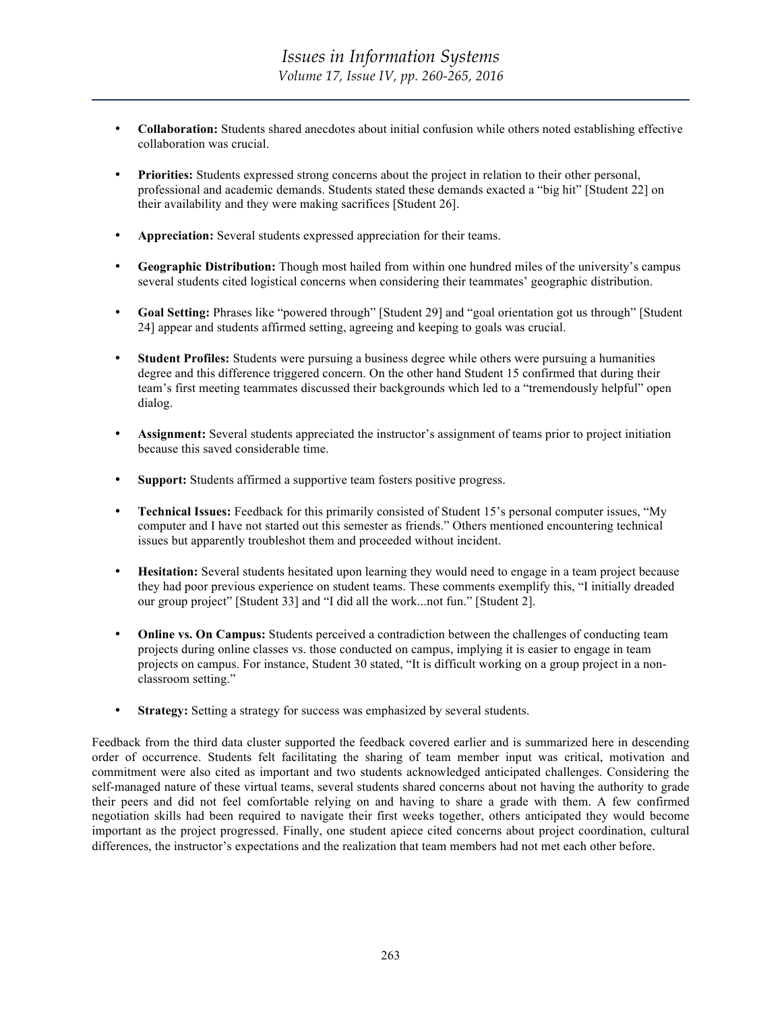- **Collaboration:** Students shared anecdotes about initial confusion while others noted establishing effective collaboration was crucial.
- **Priorities:** Students expressed strong concerns about the project in relation to their other personal, professional and academic demands. Students stated these demands exacted a "big hit" [Student 22] on their availability and they were making sacrifices [Student 26].
- **Appreciation:** Several students expressed appreciation for their teams.
- **Geographic Distribution:** Though most hailed from within one hundred miles of the university's campus several students cited logistical concerns when considering their teammates' geographic distribution.
- **Goal Setting:** Phrases like "powered through" [Student 29] and "goal orientation got us through" [Student 24] appear and students affirmed setting, agreeing and keeping to goals was crucial.
- **Student Profiles:** Students were pursuing a business degree while others were pursuing a humanities degree and this difference triggered concern. On the other hand Student 15 confirmed that during their team's first meeting teammates discussed their backgrounds which led to a "tremendously helpful" open dialog.
- **Assignment:** Several students appreciated the instructor's assignment of teams prior to project initiation because this saved considerable time.
- **Support:** Students affirmed a supportive team fosters positive progress.
- **Technical Issues:** Feedback for this primarily consisted of Student 15's personal computer issues, "My computer and I have not started out this semester as friends." Others mentioned encountering technical issues but apparently troubleshot them and proceeded without incident.
- **Hesitation:** Several students hesitated upon learning they would need to engage in a team project because they had poor previous experience on student teams. These comments exemplify this, "I initially dreaded our group project" [Student 33] and "I did all the work...not fun." [Student 2].
- **Online vs. On Campus:** Students perceived a contradiction between the challenges of conducting team projects during online classes vs. those conducted on campus, implying it is easier to engage in team projects on campus. For instance, Student 30 stated, "It is difficult working on a group project in a nonclassroom setting."
- **Strategy:** Setting a strategy for success was emphasized by several students.

Feedback from the third data cluster supported the feedback covered earlier and is summarized here in descending order of occurrence. Students felt facilitating the sharing of team member input was critical, motivation and commitment were also cited as important and two students acknowledged anticipated challenges. Considering the self-managed nature of these virtual teams, several students shared concerns about not having the authority to grade their peers and did not feel comfortable relying on and having to share a grade with them. A few confirmed negotiation skills had been required to navigate their first weeks together, others anticipated they would become important as the project progressed. Finally, one student apiece cited concerns about project coordination, cultural differences, the instructor's expectations and the realization that team members had not met each other before.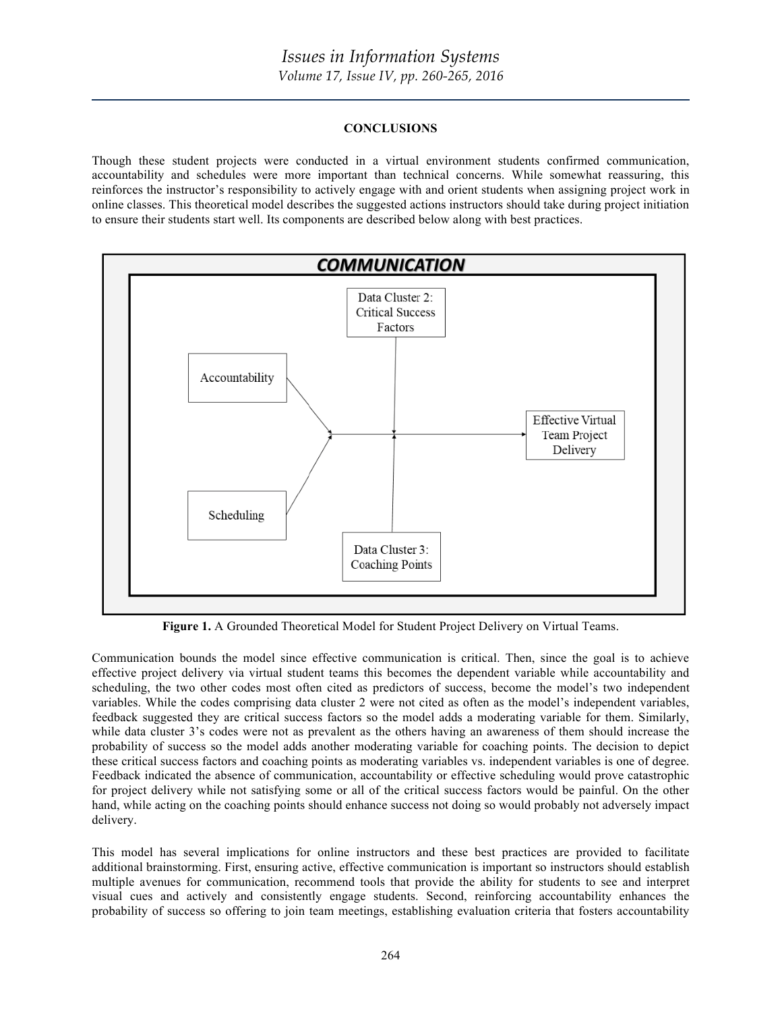# **CONCLUSIONS**

Though these student projects were conducted in a virtual environment students confirmed communication, accountability and schedules were more important than technical concerns. While somewhat reassuring, this reinforces the instructor's responsibility to actively engage with and orient students when assigning project work in online classes. This theoretical model describes the suggested actions instructors should take during project initiation to ensure their students start well. Its components are described below along with best practices.



**Figure 1.** A Grounded Theoretical Model for Student Project Delivery on Virtual Teams.

Communication bounds the model since effective communication is critical. Then, since the goal is to achieve effective project delivery via virtual student teams this becomes the dependent variable while accountability and scheduling, the two other codes most often cited as predictors of success, become the model's two independent variables. While the codes comprising data cluster 2 were not cited as often as the model's independent variables, feedback suggested they are critical success factors so the model adds a moderating variable for them. Similarly, while data cluster 3's codes were not as prevalent as the others having an awareness of them should increase the probability of success so the model adds another moderating variable for coaching points. The decision to depict these critical success factors and coaching points as moderating variables vs. independent variables is one of degree. Feedback indicated the absence of communication, accountability or effective scheduling would prove catastrophic for project delivery while not satisfying some or all of the critical success factors would be painful. On the other hand, while acting on the coaching points should enhance success not doing so would probably not adversely impact delivery.

This model has several implications for online instructors and these best practices are provided to facilitate additional brainstorming. First, ensuring active, effective communication is important so instructors should establish multiple avenues for communication, recommend tools that provide the ability for students to see and interpret visual cues and actively and consistently engage students. Second, reinforcing accountability enhances the probability of success so offering to join team meetings, establishing evaluation criteria that fosters accountability